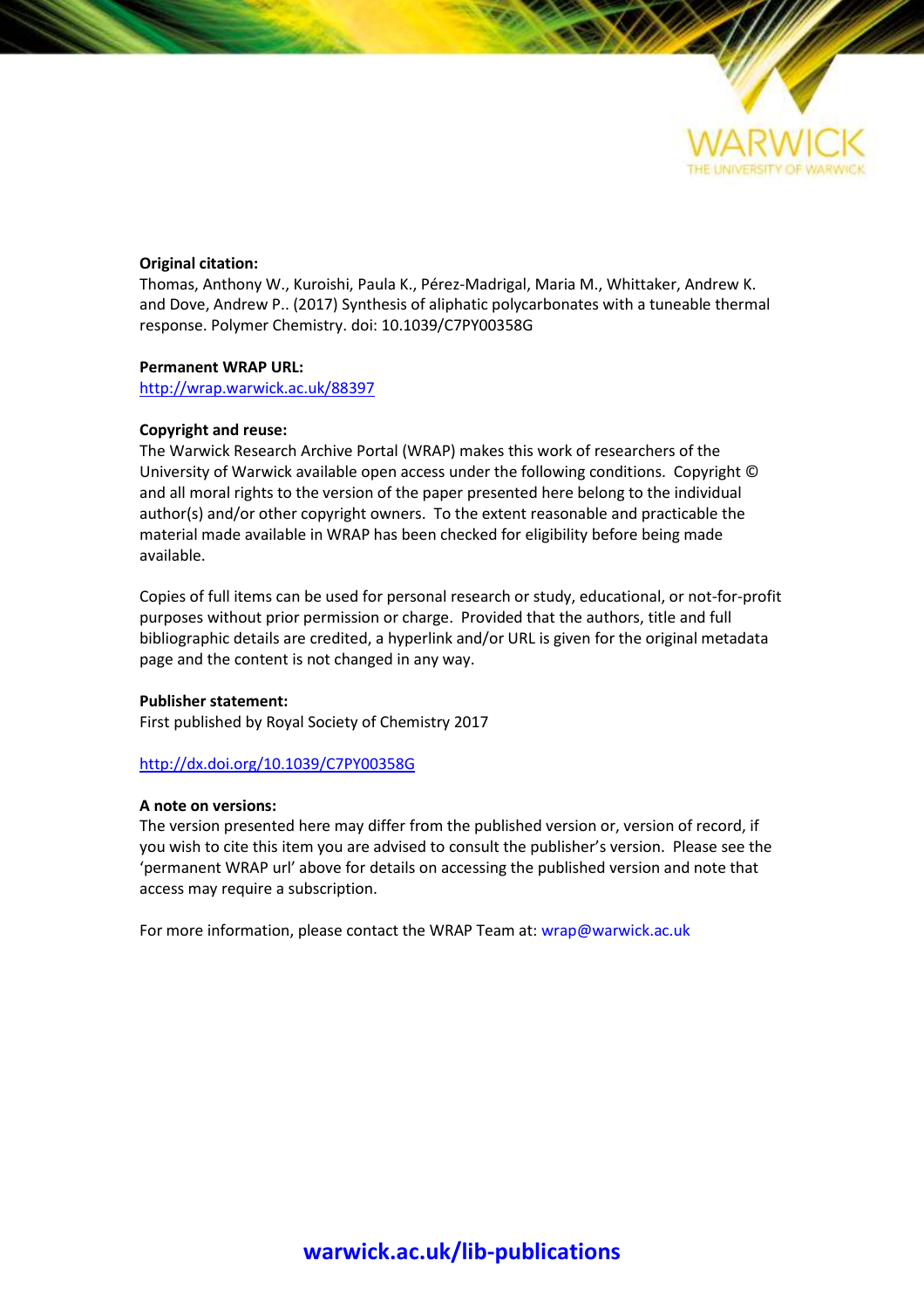

# **Original citation:**

Thomas, Anthony W., Kuroishi, Paula K., Pérez-Madrigal, Maria M., Whittaker, Andrew K. and Dove, Andrew P.. (2017) Synthesis of aliphatic polycarbonates with a tuneable thermal response. Polymer Chemistry. doi: 10.1039/C7PY00358G

# **Permanent WRAP URL:**

<http://wrap.warwick.ac.uk/88397>

# **Copyright and reuse:**

The Warwick Research Archive Portal (WRAP) makes this work of researchers of the University of Warwick available open access under the following conditions. Copyright © and all moral rights to the version of the paper presented here belong to the individual author(s) and/or other copyright owners. To the extent reasonable and practicable the material made available in WRAP has been checked for eligibility before being made available.

Copies of full items can be used for personal research or study, educational, or not-for-profit purposes without prior permission or charge. Provided that the authors, title and full bibliographic details are credited, a hyperlink and/or URL is given for the original metadata page and the content is not changed in any way.

# **Publisher statement:**

First published by Royal Society of Chemistry 2017

# <http://dx.doi.org/10.1039/C7PY00358G>

# **A note on versions:**

The version presented here may differ from the published version or, version of record, if you wish to cite this item you are advised to consult the publisher's version. Please see the 'permanent WRAP url' above for details on accessing the published version and note that access may require a subscription.

For more information, please contact the WRAP Team at[: wrap@warwick.ac.uk](mailto:wrap@warwick.ac.uk)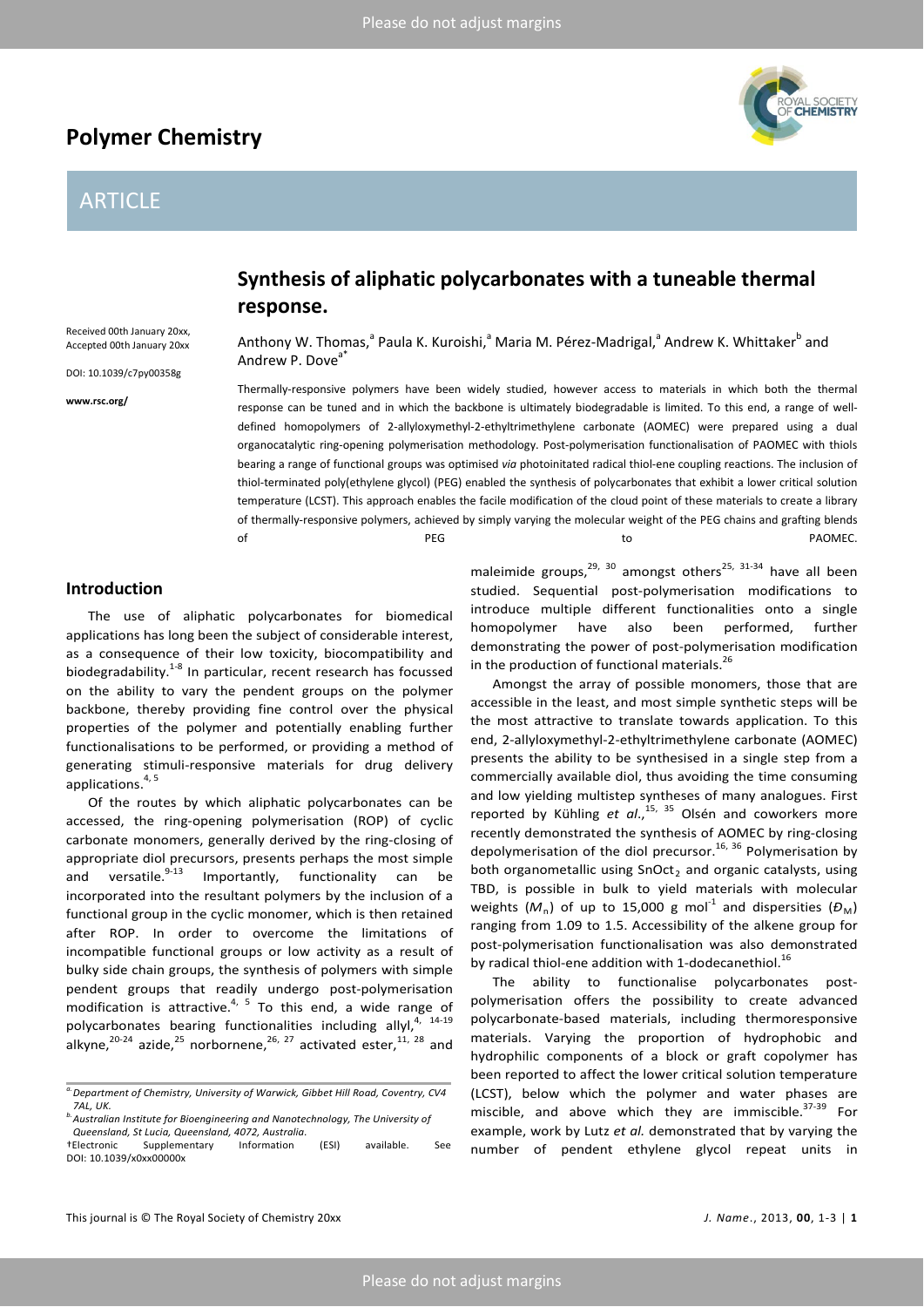# **Polymer Chemistry**

# ARTICLE

Received 00th January 20xx, Accepted 00th January 20xx DOI: 10.1039/c7py00358g

**www.rsc.org/**



Anthony W. Thomas,<sup>a</sup> Paula K. Kuroishi,<sup>a</sup> Maria M. Pérez-Madrigal,<sup>a</sup> Andrew K. Whittaker<sup>b</sup> and Andrew P. Dove<sup>a</sup>

Thermally-responsive polymers have been widely studied, however access to materials in which both the thermal response can be tuned and in which the backbone is ultimately biodegradable is limited. To this end, a range of welldefined homopolymers of 2-allyloxymethyl-2-ethyltrimethylene carbonate (AOMEC) were prepared using a dual organocatalytic ring-opening polymerisation methodology. Post-polymerisation functionalisation of PAOMEC with thiols bearing a range of functional groups was optimised *via* photoinitated radical thiol-ene coupling reactions. The inclusion of thiol-terminated poly(ethylene glycol) (PEG) enabled the synthesis of polycarbonates that exhibit a lower critical solution temperature (LCST). This approach enables the facile modification of the cloud point of these materials to create a library of thermally-responsive polymers, achieved by simply varying the molecular weight of the PEG chains and grafting blends of the person of the PEG to the particle of the PAOMEC.

# **Introduction**

The use of aliphatic polycarbonates for biomedical applications has long been the subject of considerable interest, as a consequence of their low toxicity, biocompatibility and biodegradability.<sup>1-8</sup> In particular, recent research has focussed on the ability to vary the pendent groups on the polymer backbone, thereby providing fine control over the physical properties of the polymer and potentially enabling further functionalisations to be performed, or providing a method of generating stimuli-responsive materials for drug delivery applications. 4, 5

Of the routes by which aliphatic polycarbonates can be accessed, the ring-opening polymerisation (ROP) of cyclic carbonate monomers, generally derived by the ring-closing of appropriate diol precursors, presents perhaps the most simple and versatile. $9-13$  Importantly, functionality can be incorporated into the resultant polymers by the inclusion of a functional group in the cyclic monomer, which is then retained after ROP. In order to overcome the limitations of incompatible functional groups or low activity as a result of bulky side chain groups, the synthesis of polymers with simple pendent groups that readily undergo post-polymerisation modification is attractive.<sup>4, 5</sup> To this end, a wide range of polycarbonates bearing functionalities including allyl,<sup>4, 14-19</sup> alkyne, $^{20-24}$  azide, $^{25}$  norbornene, $^{26, 27}$  activated ester, $^{11, 28}$  and

maleimide groups,  $29, 30$  amongst others<sup>25, 31-34</sup> have all been studied. Sequential post-polymerisation modifications to introduce multiple different functionalities onto a single homopolymer have also been performed, further demonstrating the power of post-polymerisation modification in the production of functional materials.<sup>26</sup>

Amongst the array of possible monomers, those that are accessible in the least, and most simple synthetic steps will be the most attractive to translate towards application. To this end, 2-allyloxymethyl-2-ethyltrimethylene carbonate (AOMEC) presents the ability to be synthesised in a single step from a commercially available diol, thus avoiding the time consuming and low yielding multistep syntheses of many analogues. First reported by Kühling *et al.*,<sup>15, 35</sup> Olsén and coworkers more recently demonstrated the synthesis of AOMEC by ring-closing depolymerisation of the diol precursor.<sup>16, 36</sup> Polymerisation by both organometallic using  $SnOct<sub>2</sub>$  and organic catalysts, using TBD, is possible in bulk to yield materials with molecular weights  $(M_n)$  of up to 15,000 g mol<sup>-1</sup> and dispersities  $(D_M)$ ranging from 1.09 to 1.5. Accessibility of the alkene group for post-polymerisation functionalisation was also demonstrated by radical thiol-ene addition with 1-dodecanethiol.<sup>16</sup>

The ability to functionalise polycarbonates postpolymerisation offers the possibility to create advanced polycarbonate-based materials, including thermoresponsive materials. Varying the proportion of hydrophobic and hydrophilic components of a block or graft copolymer has been reported to affect the lower critical solution temperature (LCST), below which the polymer and water phases are miscible, and above which they are immiscible. $37-39$  For example, work by Lutz *et al.* demonstrated that by varying the number of pendent ethylene glycol repeat units in



*a.Department of Chemistry, University of Warwick, Gibbet Hill Road, Coventry, CV4 7AL, UK. b.Australian Institute for Bioengineering and Nanotechnology, The University of* 

*Queensland, St Lucia, Queensland, 4072, Australia.*

Supplementary Information (ESI) available. See DOI: 10.1039/x0xx00000x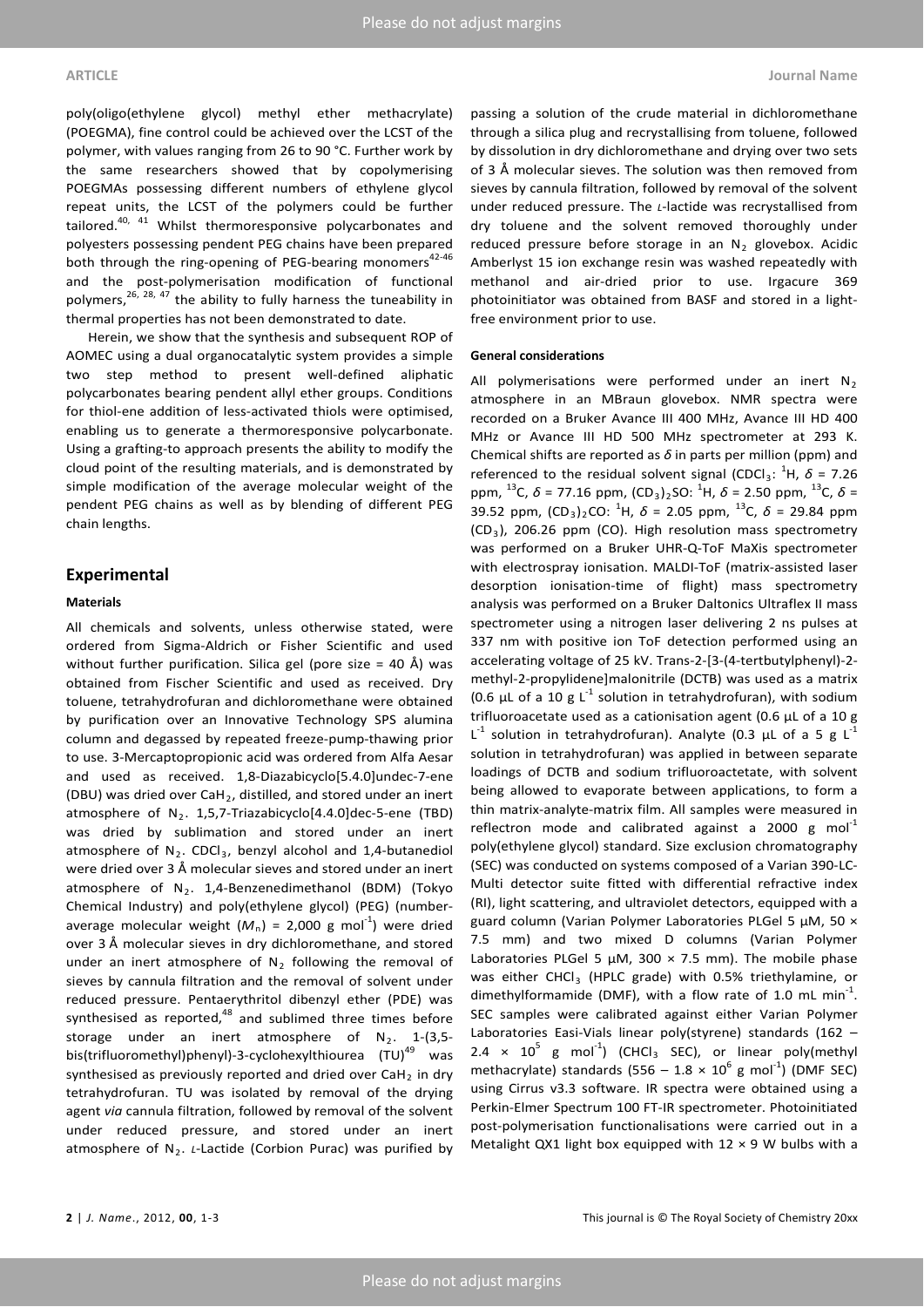poly(oligo(ethylene glycol) methyl ether methacrylate) (POEGMA), fine control could be achieved over the LCST of the polymer, with values ranging from 26 to 90 °C. Further work by the same researchers showed that by copolymerising POEGMAs possessing different numbers of ethylene glycol repeat units, the LCST of the polymers could be further tailored.<sup>40, 41</sup> Whilst thermoresponsive polycarbonates and polyesters possessing pendent PEG chains have been prepared both through the ring-opening of PEG-bearing monomers $42-46$ and the post-polymerisation modification of functional polymers,<sup>26, 28, 47</sup> the ability to fully harness the tuneability in thermal properties has not been demonstrated to date.

Herein, we show that the synthesis and subsequent ROP of AOMEC using a dual organocatalytic system provides a simple two step method to present well-defined aliphatic polycarbonates bearing pendent allyl ether groups. Conditions for thiol-ene addition of less-activated thiols were optimised, enabling us to generate a thermoresponsive polycarbonate. Using a grafting-to approach presents the ability to modify the cloud point of the resulting materials, and is demonstrated by simple modification of the average molecular weight of the pendent PEG chains as well as by blending of different PEG chain lengths.

## **Experimental**

### **Materials**

All chemicals and solvents, unless otherwise stated, were ordered from Sigma-Aldrich or Fisher Scientific and used without further purification. Silica gel (pore size = 40 Å) was obtained from Fischer Scientific and used as received. Dry toluene, tetrahydrofuran and dichloromethane were obtained by purification over an Innovative Technology SPS alumina column and degassed by repeated freeze-pump-thawing prior to use. 3-Mercaptopropionic acid was ordered from Alfa Aesar and used as received. 1,8-Diazabicyclo[5.4.0]undec-7-ene (DBU) was dried over  $Cah<sub>2</sub>$ , distilled, and stored under an inert atmosphere of  $N_2$ . 1,5,7-Triazabicyclo[4.4.0]dec-5-ene (TBD) was dried by sublimation and stored under an inert atmosphere of  $N_2$ . CDCl<sub>3</sub>, benzyl alcohol and 1,4-butanediol were dried over 3 Å molecular sieves and stored under an inert atmosphere of  $N_2$ . 1,4-Benzenedimethanol (BDM) (Tokyo Chemical Industry) and poly(ethylene glycol) (PEG) (numberaverage molecular weight  $(M_n)$  = 2,000 g mol<sup>-1</sup>) were dried over 3 Å molecular sieves in dry dichloromethane, and stored under an inert atmosphere of  $N<sub>2</sub>$  following the removal of sieves by cannula filtration and the removal of solvent under reduced pressure. Pentaerythritol dibenzyl ether (PDE) was synthesised as reported, $48$  and sublimed three times before storage under an inert atmosphere of  $N_2$ . 1-(3,5bis(trifluoromethyl)phenyl)-3-cyclohexylthiourea (TU)<sup>49</sup> was synthesised as previously reported and dried over  $CaH<sub>2</sub>$  in dry tetrahydrofuran. TU was isolated by removal of the drying agent *via* cannula filtration, followed by removal of the solvent under reduced pressure, and stored under an inert atmosphere of N<sub>2</sub>. *L*-Lactide (Corbion Purac) was purified by

passing a solution of the crude material in dichloromethane through a silica plug and recrystallising from toluene, followed by dissolution in dry dichloromethane and drying over two sets of 3 Å molecular sieves. The solution was then removed from sieves by cannula filtration, followed by removal of the solvent under reduced pressure. The *L*-lactide was recrystallised from dry toluene and the solvent removed thoroughly under reduced pressure before storage in an  $N_2$  glovebox. Acidic Amberlyst 15 ion exchange resin was washed repeatedly with methanol and air-dried prior to use. Irgacure 369 photoinitiator was obtained from BASF and stored in a lightfree environment prior to use.

#### **General considerations**

All polymerisations were performed under an inert  $N_2$ atmosphere in an MBraun glovebox. NMR spectra were recorded on a Bruker Avance III 400 MHz, Avance III HD 400 MHz or Avance III HD 500 MHz spectrometer at 293 K. Chemical shifts are reported as  $\delta$  in parts per million (ppm) and referenced to the residual solvent signal (CDCl<sub>3</sub>:  ${}^{1}$ H,  $\delta$  = 7.26 ppm, <sup>13</sup>C, *δ* = 77.16 ppm,  $\left( CD_{3}\right) _{2}SO:$  <sup>1</sup>H, *δ* = 2.50 ppm, <sup>13</sup>C, *δ* = 39.52 ppm,  $(CD_3)_2 CO: {}^1H$ ,  $\delta = 2.05$  ppm,  ${}^{13}C$ ,  $\delta = 29.84$  ppm  $(CD_3)$ , 206.26 ppm (CO). High resolution mass spectrometry was performed on a Bruker UHR-Q-ToF MaXis spectrometer with electrospray ionisation. MALDI-ToF (matrix-assisted laser desorption ionisation-time of flight) mass spectrometry analysis was performed on a Bruker Daltonics Ultraflex II mass spectrometer using a nitrogen laser delivering 2 ns pulses at 337 nm with positive ion ToF detection performed using an accelerating voltage of 25 kV. Trans-2-[3-(4-tertbutylphenyl)-2 methyl-2-propylidene]malonitrile (DCTB) was used as a matrix (0.6  $\mu$ L of a 10 g L<sup>-1</sup> solution in tetrahydrofuran), with sodium trifluoroacetate used as a cationisation agent (0.6 μL of a 10 g L<sup>-1</sup> solution in tetrahydrofuran). Analyte (0.3  $\mu$ L of a 5 g L<sup>-1</sup> solution in tetrahydrofuran) was applied in between separate loadings of DCTB and sodium trifluoroactetate, with solvent being allowed to evaporate between applications, to form a thin matrix-analyte-matrix film. All samples were measured in reflectron mode and calibrated against a 2000 g mol<sup>-1</sup> poly(ethylene glycol) standard. Size exclusion chromatography (SEC) was conducted on systems composed of a Varian 390-LC-Multi detector suite fitted with differential refractive index (RI), light scattering, and ultraviolet detectors, equipped with a guard column (Varian Polymer Laboratories PLGel 5 μM, 50 × 7.5 mm) and two mixed D columns (Varian Polymer Laboratories PLGel 5  $\mu$ M, 300  $\times$  7.5 mm). The mobile phase was either CHCl<sub>3</sub> (HPLC grade) with 0.5% triethylamine, or dimethylformamide (DMF), with a flow rate of 1.0 mL min<sup>-1</sup>. SEC samples were calibrated against either Varian Polymer Laboratories Easi-Vials linear poly(styrene) standards (162 – 2.4  $\times$  10<sup>5</sup> g mol<sup>-1</sup>) (CHCl<sub>3</sub> SEC), or linear poly(methyl methacrylate) standards (556 – 1.8  $\times$  10<sup>6</sup> g mol<sup>-1</sup>) (DMF SEC) using Cirrus v3.3 software. IR spectra were obtained using a Perkin-Elmer Spectrum 100 FT-IR spectrometer. Photoinitiated post-polymerisation functionalisations were carried out in a Metalight QX1 light box equipped with  $12 \times 9$  W bulbs with a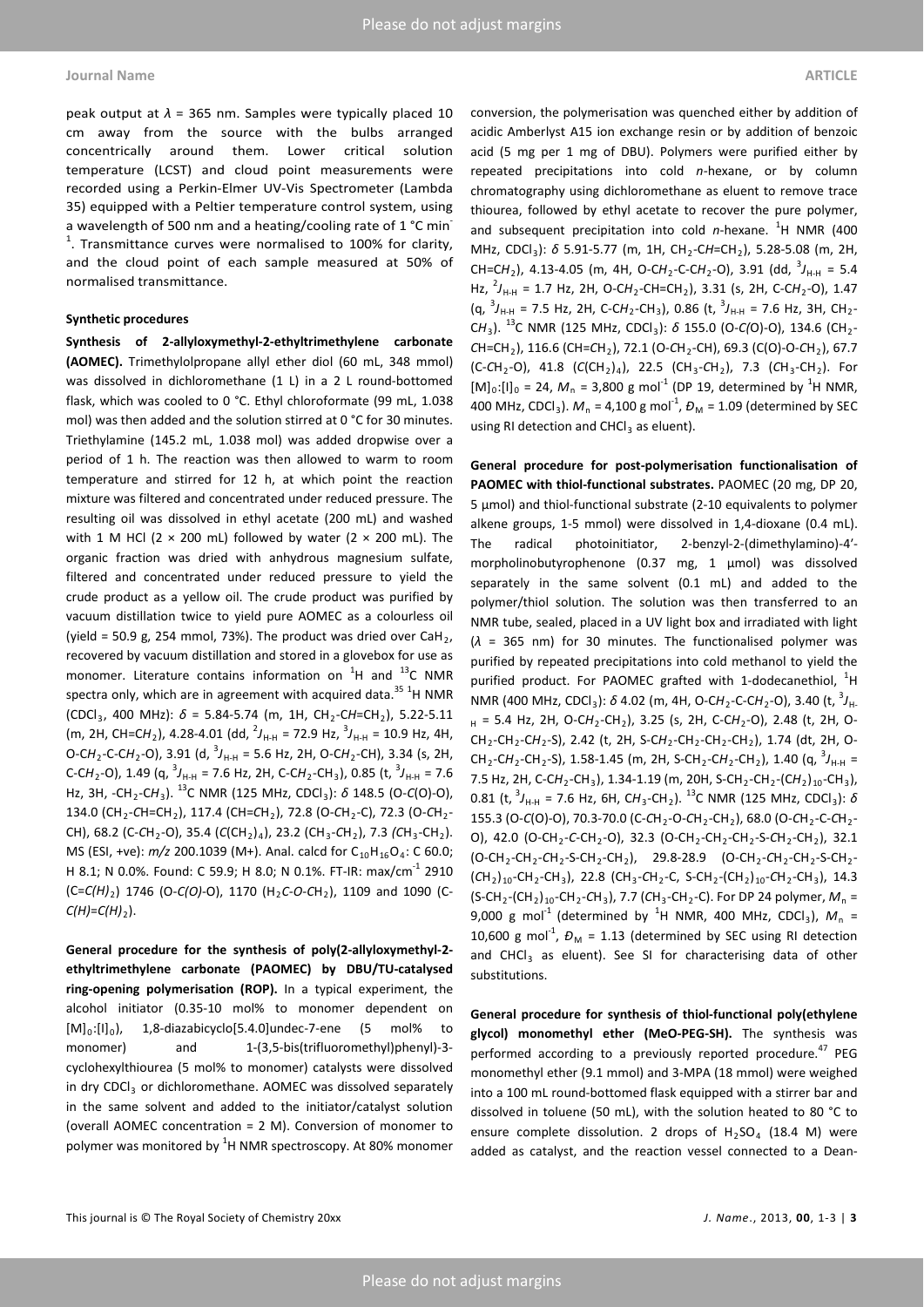### **Journal Name ARTICLE**

peak output at  $\lambda$  = 365 nm. Samples were typically placed 10 cm away from the source with the bulbs arranged concentrically around them. Lower critical solution temperature (LCST) and cloud point measurements were recorded using a Perkin-Elmer UV-Vis Spectrometer (Lambda 35) equipped with a Peltier temperature control system, using a wavelength of 500 nm and a heating/cooling rate of 1 °C min  $1$ . Transmittance curves were normalised to 100% for clarity, and the cloud point of each sample measured at 50% of normalised transmittance.

#### **Synthetic procedures**

**Synthesis of 2-allyloxymethyl-2-ethyltrimethylene carbonate (AOMEC).** Trimethylolpropane allyl ether diol (60 mL, 348 mmol) was dissolved in dichloromethane (1 L) in a 2 L round-bottomed flask, which was cooled to 0 °C. Ethyl chloroformate (99 mL, 1.038 mol) was then added and the solution stirred at 0 °C for 30 minutes. Triethylamine (145.2 mL, 1.038 mol) was added dropwise over a period of 1 h. The reaction was then allowed to warm to room temperature and stirred for 12 h, at which point the reaction mixture was filtered and concentrated under reduced pressure. The resulting oil was dissolved in ethyl acetate (200 mL) and washed with 1 M HCl (2  $\times$  200 mL) followed by water (2  $\times$  200 mL). The organic fraction was dried with anhydrous magnesium sulfate, filtered and concentrated under reduced pressure to yield the crude product as a yellow oil. The crude product was purified by vacuum distillation twice to yield pure AOMEC as a colourless oil (yield = 50.9 g, 254 mmol, 73%). The product was dried over CaH<sub>2</sub>, recovered by vacuum distillation and stored in a glovebox for use as monomer. Literature contains information on  ${}^{1}H$  and  ${}^{13}C$  NMR spectra only, which are in agreement with acquired data.<sup>35 1</sup>H NMR  $(CDCI_3, 400 MHz): \delta = 5.84 - 5.74$  (m, 1H, CH<sub>2</sub>-CH=CH<sub>2</sub>), 5.22-5.11 (m, 2H, CH=CH<sub>2</sub>), 4.28-4.01 (dd, <sup>2</sup>J<sub>H-H</sub> = 72.9 Hz, <sup>3</sup>J<sub>H-H</sub> = 10.9 Hz, 4H, O-C*H*2-C-C*H*2-O), 3.91 (d, <sup>3</sup> *J*H-H = 5.6 Hz, 2H, O-C*H*2-CH), 3.34 (s, 2H, C-CH<sub>2</sub>-O), 1.49 (q,  $^{3}J_{H\text{-}H}$  = 7.6 Hz, 2H, C-CH<sub>2</sub>-CH<sub>3</sub>), 0.85 (t,  $^{3}J_{H\text{-}H}$  = 7.6 Hz, 3H, -CH2-C*H*3). 13C NMR (125 MHz, CDCl3): *δ* 148.5 (O-*C*(O)-O), 134.0 (CH2-*C*H=CH2), 117.4 (CH=*C*H2), 72.8 (O-*C*H2-C), 72.3 (O-*C*H2- CH), 68.2 (C-CH<sub>2</sub>-O), 35.4 (C(CH<sub>2</sub>)<sub>4</sub>), 23.2 (CH<sub>3</sub>-CH<sub>2</sub>), 7.3 (CH<sub>3</sub>-CH<sub>2</sub>). MS (ESI, +ve):  $m/z$  200.1039 (M+). Anal. calcd for C<sub>10</sub>H<sub>16</sub>O<sub>4</sub>: C 60.0; H 8.1; N 0.0%. Found: C 59.9; H 8.0; N 0.1%. FT-IR: max/cm<sup>-1</sup> 2910 (C=*C(H)*2) 1746 (O-*C(O)*-O), 1170 (H2*C-O-C*H2), 1109 and 1090 (C- $C(H)=C(H)_2$ ).

**General procedure for the synthesis of poly(2-allyloxymethyl-2 ethyltrimethylene carbonate (PAOMEC) by DBU/TU-catalysed ring-opening polymerisation (ROP).** In a typical experiment, the alcohol initiator (0.35-10 mol% to monomer dependent on  $[M]_0:[I]_0$ , 1,8-diazabicyclo $[5.4.0]$ undec-7-ene  $(5 \text{ mol\%})$  to monomer) and 1-(3,5-bis(trifluoromethyl)phenyl)-3cyclohexylthiourea (5 mol% to monomer) catalysts were dissolved in dry CDCl<sub>3</sub> or dichloromethane. AOMEC was dissolved separately in the same solvent and added to the initiator/catalyst solution (overall AOMEC concentration = 2 M). Conversion of monomer to polymer was monitored by  ${}^{1}$ H NMR spectroscopy. At 80% monomer conversion, the polymerisation was quenched either by addition of acidic Amberlyst A15 ion exchange resin or by addition of benzoic acid (5 mg per 1 mg of DBU). Polymers were purified either by repeated precipitations into cold *n-*hexane, or by column chromatography using dichloromethane as eluent to remove trace thiourea, followed by ethyl acetate to recover the pure polymer, and subsequent precipitation into cold *n*-hexane. <sup>1</sup>H NMR (400 MHz, CDCl<sub>3</sub>): δ 5.91-5.77 (m, 1H, CH<sub>2</sub>-CH=CH<sub>2</sub>), 5.28-5.08 (m, 2H, CH=CH<sub>2</sub>), 4.13-4.05 (m, 4H, O-CH<sub>2</sub>-C-CH<sub>2</sub>-O), 3.91 (dd, <sup>3</sup>J<sub>H-H</sub> = 5.4 Hz, <sup>2</sup>J<sub>H-H</sub> = 1.7 Hz, 2H, O-CH<sub>2</sub>-CH=CH<sub>2</sub>), 3.31 (s, 2H, C-CH<sub>2</sub>-O), 1.47  $(q, {}^{3}J_{H\!-\!H} = 7.5$  Hz, 2H, C-CH<sub>2</sub>-CH<sub>3</sub>), 0.86 (t,  ${}^{3}J_{H\!-\!H} = 7.6$  Hz, 3H, CH<sub>2</sub>-CH<sub>3</sub>). <sup>13</sup>C NMR (125 MHz, CDCl<sub>3</sub>): *δ* 155.0 (O-*C*(O)-O), 134.6 (CH<sub>2</sub>-*C*H=CH2), 116.6 (CH=*C*H2), 72.1 (O-*C*H2-CH), 69.3 (C(O)-O-*C*H2), 67.7 (C-*C*H2-O), 41.8 (*C*(CH2)4), 22.5 (CH3-*C*H2), 7.3 (*C*H3-CH2). For  $[M]_0$ :[I]<sub>0</sub> = 24,  $M_n$  = 3,800 g mol<sup>-1</sup> (DP 19, determined by <sup>1</sup>H NMR, 400 MHz, CDCl<sub>3</sub>).  $M_n = 4,100$  g mol<sup>-1</sup>,  $D_M = 1.09$  (determined by SEC using RI detection and  $CHCl<sub>3</sub>$  as eluent).

**General procedure for post-polymerisation functionalisation of PAOMEC with thiol-functional substrates.** PAOMEC (20 mg, DP 20, 5 μmol) and thiol-functional substrate (2-10 equivalents to polymer alkene groups, 1-5 mmol) were dissolved in 1,4-dioxane (0.4 mL). The radical photoinitiator, 2-benzyl-2-(dimethylamino)-4′ morpholinobutyrophenone (0.37 mg, 1 μmol) was dissolved separately in the same solvent (0.1 mL) and added to the polymer/thiol solution. The solution was then transferred to an NMR tube, sealed, placed in a UV light box and irradiated with light (*λ* = 365 nm) for 30 minutes. The functionalised polymer was purified by repeated precipitations into cold methanol to yield the purified product. For PAOMEC grafted with 1-dodecanethiol,  ${}^{1}$ H NMR (400 MHz, CDCl<sub>3</sub>): *δ* 4.02 (m, 4H, O-CH<sub>2</sub>-C-CH<sub>2</sub>-O), 3.40 (t, <sup>3</sup>J<sub>H</sub>. H = 5.4 Hz, 2H, O-CH<sub>2</sub>-CH<sub>2</sub>), 3.25 (s, 2H, C-CH<sub>2</sub>-O), 2.48 (t, 2H, O-CH2-CH2-C*H*2-S), 2.42 (t, 2H, S-C*H*2-CH2-CH2-CH2), 1.74 (dt, 2H, O- $CH_2$ -CH<sub>2</sub>-CH<sub>2</sub>-S), 1.58-1.45 (m, 2H, S-CH<sub>2</sub>-CH<sub>2</sub>-CH<sub>2</sub>), 1.40 (q,  ${}^{3}J_{H\!-\!H}$  = 7.5 Hz, 2H, C-CH<sub>2</sub>-CH<sub>3</sub>), 1.34-1.19 (m, 20H, S-CH<sub>2</sub>-CH<sub>2</sub>-(CH<sub>2</sub>)<sub>10</sub>-CH<sub>3</sub>), 0.81 (t, <sup>3</sup>J<sub>H-H</sub> = 7.6 Hz, 6H, CH<sub>3</sub>-CH<sub>2</sub>). <sup>13</sup>C NMR (125 MHz, CDCl<sub>3</sub>): *δ* 155.3 (O-C(O)-O), 70.3-70.0 (C-CH<sub>2</sub>-O-CH<sub>2</sub>-CH<sub>2</sub>), 68.0 (O-CH<sub>2</sub>-C-CH<sub>2</sub>-O), 42.0 (O-CH<sub>2</sub>-C-CH<sub>2</sub>-O), 32.3 (O-CH<sub>2</sub>-CH<sub>2</sub>-CH<sub>2</sub>-S-CH<sub>2</sub>-CH<sub>2</sub>), 32.1 (O-CH2-CH2-*C*H2-S-CH2-CH2), 29.8-28.9 (O-CH2-*C*H2-CH2-S-CH2- (*C*H2)10-CH2-CH3), 22.8 (CH3-*C*H2-C, S-CH2-(CH2)10-*C*H2-CH3), 14.3  $(S-CH_2-CH_2)_{10}-CH_2-CH_3$ , 7.7 (CH<sub>3</sub>-CH<sub>2</sub>-C). For DP 24 polymer,  $M_n =$ 9,000 g mol<sup>-1</sup> (determined by <sup>1</sup>H NMR, 400 MHz, CDCl<sub>3</sub>),  $M_n =$ 10,600 g mol<sup>-1</sup>,  $D_M = 1.13$  (determined by SEC using RI detection and CHCl<sub>3</sub> as eluent). See SI for characterising data of other substitutions.

**General procedure for synthesis of thiol-functional poly(ethylene glycol) monomethyl ether (MeO-PEG-SH).** The synthesis was performed according to a previously reported procedure.<sup>47</sup> PEG monomethyl ether (9.1 mmol) and 3-MPA (18 mmol) were weighed into a 100 mL round-bottomed flask equipped with a stirrer bar and dissolved in toluene (50 mL), with the solution heated to 80 °C to ensure complete dissolution. 2 drops of  $H<sub>2</sub>SO<sub>4</sub>$  (18.4 M) were added as catalyst, and the reaction vessel connected to a Dean-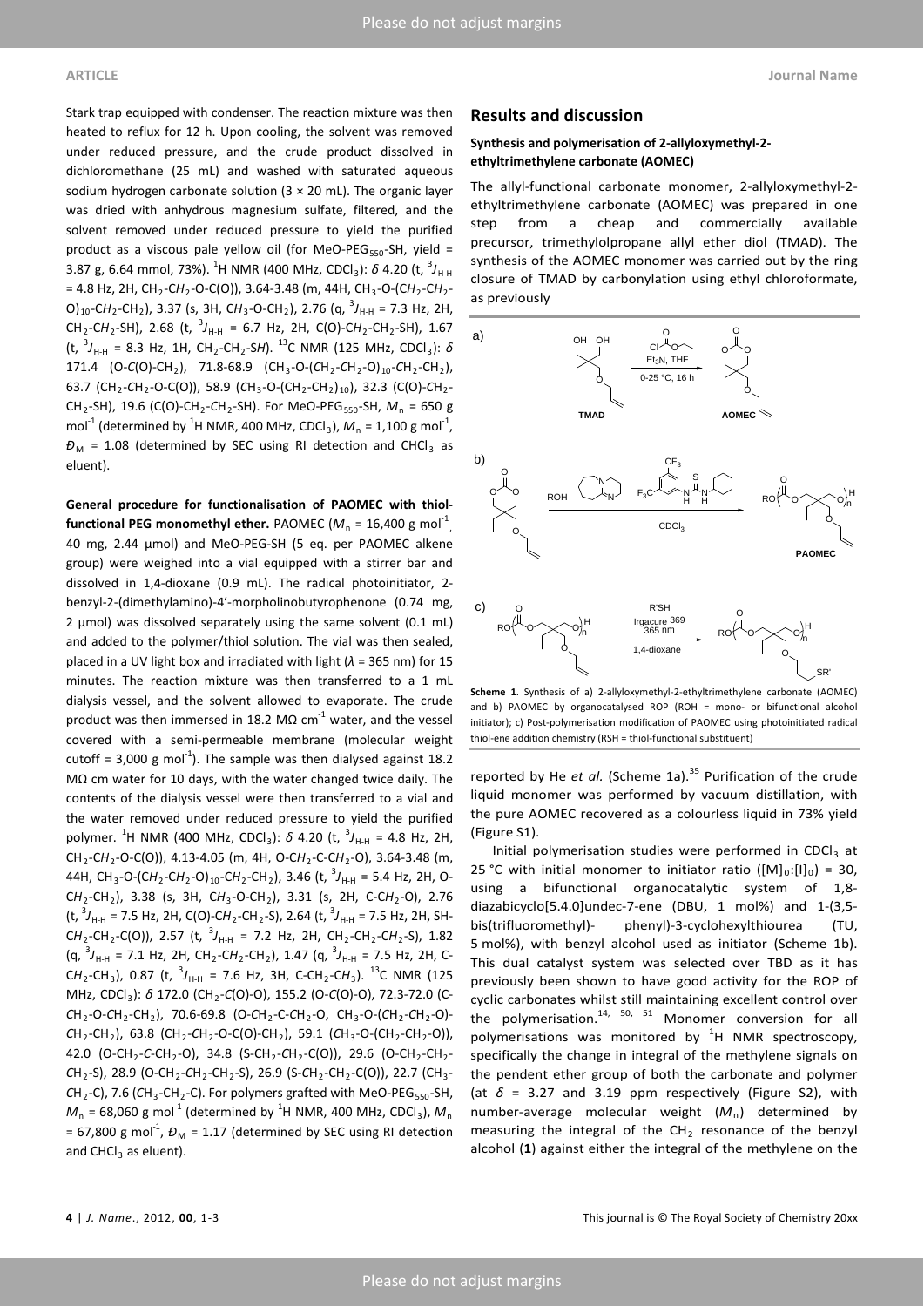Stark trap equipped with condenser. The reaction mixture was then heated to reflux for 12 h. Upon cooling, the solvent was removed under reduced pressure, and the crude product dissolved in dichloromethane (25 mL) and washed with saturated aqueous sodium hydrogen carbonate solution ( $3 \times 20$  mL). The organic layer was dried with anhydrous magnesium sulfate, filtered, and the solvent removed under reduced pressure to yield the purified product as a viscous pale yellow oil (for MeO-PEG<sub>550</sub>-SH, yield = 3.87 g, 6.64 mmol, 73%). <sup>1</sup>H NMR (400 MHz, CDCl<sub>3</sub>): *δ* 4.20 (t, <sup>3</sup>J<sub>H-H</sub> = 4.8 Hz, 2H, CH<sub>2</sub>-CH<sub>2</sub>-O-C(O)), 3.64-3.48 (m, 44H, CH<sub>3</sub>-O-(CH<sub>2</sub>-CH<sub>2</sub>-O)<sub>10</sub>-CH<sub>2</sub>-CH<sub>2</sub>), 3.37 (s, 3H, CH<sub>3</sub>-O-CH<sub>2</sub>), 2.76 (q, <sup>3</sup>J<sub>H-H</sub> = 7.3 Hz, 2H,  $CH_2$ -CH<sub>2</sub>-SH), 2.68 (t,  ${}^{3}J_{H\!-\!H} = 6.7$  Hz, 2H, C(O)-CH<sub>2</sub>-CH<sub>2</sub>-SH), 1.67 (t, <sup>3</sup> *J*H-H = 8.3 Hz, 1H, CH2-CH2-S*H*). 13C NMR (125 MHz, CDCl3): *δ* 171.4 (O-*C*(O)-CH<sub>2</sub>), 71.8-68.9 (CH<sub>3</sub>-O-(CH<sub>2</sub>-CH<sub>2</sub>-O)<sub>10</sub>-CH<sub>2</sub>-CH<sub>2</sub>), 63.7 (CH<sub>2</sub>-CH<sub>2</sub>-O-C(O)), 58.9 (CH<sub>3</sub>-O-(CH<sub>2</sub>-CH<sub>2</sub>)<sub>10</sub>), 32.3 (C(O)-CH<sub>2</sub>-CH<sub>2</sub>-SH), 19.6 (C(O)-CH<sub>2</sub>-CH<sub>2</sub>-SH). For MeO-PEG<sub>550</sub>-SH,  $M_n = 650$  g mol<sup>-1</sup> (determined by <sup>1</sup>H NMR, 400 MHz, CDCl<sub>3</sub>),  $M_n = 1,100$  g mol<sup>-1</sup>,  $D_M$  = 1.08 (determined by SEC using RI detection and CHCl<sub>3</sub> as eluent).

**General procedure for functionalisation of PAOMEC with thiol-** ${\sf functional\ PEG\ monoch{thyl\ other}.\ PAOMEC}\ ({M_{\mathsf{n}}}\ {\textcolor{red}{\mathsf{=}}}\ 16{,}400\ {\textcolor{red}{\mathsf{g}}\ \textcolor{red}{\mathsf{mol}}}\ {\textcolor{red}{\mathsf{1}}}^1_{\mathsf{p}}$ 40 mg, 2.44 μmol) and MeO-PEG-SH (5 eq. per PAOMEC alkene group) were weighed into a vial equipped with a stirrer bar and dissolved in 1,4-dioxane (0.9 mL). The radical photoinitiator, 2 benzyl-2-(dimethylamino)-4′-morpholinobutyrophenone (0.74 mg, 2 μmol) was dissolved separately using the same solvent (0.1 mL) and added to the polymer/thiol solution. The vial was then sealed, placed in a UV light box and irradiated with light (*λ* = 365 nm) for 15 minutes. The reaction mixture was then transferred to a 1 mL dialysis vessel, and the solvent allowed to evaporate. The crude product was then immersed in 18.2 MΩ  $cm<sup>-1</sup>$  water, and the vessel covered with a semi-permeable membrane (molecular weight cutoff = 3,000 g mol<sup>-1</sup>). The sample was then dialysed against 18.2 MΩ cm water for 10 days, with the water changed twice daily. The contents of the dialysis vessel were then transferred to a vial and the water removed under reduced pressure to yield the purified polymer. <sup>1</sup>H NMR (400 MHz, CDCl<sub>3</sub>): *δ* 4.20 (t, <sup>3</sup>J<sub>H-H</sub> = 4.8 Hz, 2H, CH2-C*H*2-O-C(O)), 4.13-4.05 (m, 4H, O-C*H*2-C-C*H*2-O), 3.64-3.48 (m, 44H, CH3-O-(C*H*2-C*H*2-O)10-C*H*2-CH2), 3.46 (t, <sup>3</sup> *J*H-H = 5.4 Hz, 2H, O-C*H*2-CH2), 3.38 (s, 3H, C*H*3-O-CH2), 3.31 (s, 2H, C-C*H*2-O), 2.76 (t, <sup>3</sup>J<sub>H-H</sub> = 7.5 Hz, 2H, C(O)-CH<sub>2</sub>-CH<sub>2</sub>-S), 2.64 (t, <sup>3</sup>J<sub>H-H</sub> = 7.5 Hz, 2H, SH- $CH_2$ -CH<sub>2</sub>-C(O)), 2.57 (t, <sup>3</sup>J<sub>H-H</sub> = 7.2 Hz, 2H, CH<sub>2</sub>-CH<sub>2</sub>-CH<sub>2</sub>-S), 1.82 (q, <sup>3</sup>J<sub>H-H</sub> = 7.1 Hz, 2H, CH<sub>2</sub>-CH<sub>2</sub>-CH<sub>2</sub>), 1.47 (q, <sup>3</sup>J<sub>H-H</sub> = 7.5 Hz, 2H, C- $CH_2$ -CH<sub>3</sub>), 0.87 (t,  ${}^{3}J_{H\!-\!H}$  = 7.6 Hz, 3H, C-CH<sub>2</sub>-CH<sub>3</sub>). <sup>13</sup>C NMR (125 MHz, CDCl<sub>3</sub>): δ 172.0 (CH<sub>2</sub>-C(O)-O), 155.2 (O-C(O)-O), 72.3-72.0 (C-*C*H2-O-*C*H2-CH2), 70.6-69.8 (O-*C*H2-C-*C*H2-O, CH3-O-(*C*H2-*C*H2-O)- *C*H2-CH2), 63.8 (CH2-*C*H2-O-C(O)-CH2), 59.1 (*C*H3-O-(CH2-CH2-O)), 42.0 (O-CH<sub>2</sub>-C-CH<sub>2</sub>-O), 34.8 (S-CH<sub>2</sub>-CH<sub>2</sub>-C(O)), 29.6 (O-CH<sub>2</sub>-CH<sub>2</sub>-*C*H2-S), 28.9 (O-CH2-*C*H2-CH2-S), 26.9 (S-*C*H2-CH2-C(O)), 22.7 (CH3- CH<sub>2</sub>-C), 7.6 (CH<sub>3</sub>-CH<sub>2</sub>-C). For polymers grafted with MeO-PEG<sub>550</sub>-SH,  $M_{\textrm{n}}$  = 68,060 g mol $^{1}$  (determined by  $^{1}$ H NMR, 400 MHz, CDCl<sub>3</sub>),  $M_{\textrm{n}}$  $= 67,800 \text{ g mol}^{-1}$ ,  $D_M = 1.17$  (determined by SEC using RI detection and  $CHCl<sub>3</sub>$  as eluent).

# **Results and discussion**

## **Synthesis and polymerisation of 2-allyloxymethyl-2 ethyltrimethylene carbonate (AOMEC)**

The allyl-functional carbonate monomer, 2-allyloxymethyl-2 ethyltrimethylene carbonate (AOMEC) was prepared in one step from a cheap and commercially available precursor, trimethylolpropane allyl ether diol (TMAD). The synthesis of the AOMEC monomer was carried out by the ring closure of TMAD by carbonylation using ethyl chloroformate, as previously



**Scheme 1**. Synthesis of a) 2-allyloxymethyl-2-ethyltrimethylene carbonate (AOMEC) and b) PAOMEC by organocatalysed ROP (ROH = mono- or bifunctional alcohol initiator); c) Post-polymerisation modification of PAOMEC using photoinitiated radical thiol-ene addition chemistry (RSH = thiol-functional substituent)

reported by He *et al.* (Scheme 1a).<sup>35</sup> Purification of the crude liquid monomer was performed by vacuum distillation, with the pure AOMEC recovered as a colourless liquid in 73% yield (Figure S1).

Initial polymerisation studies were performed in CDCl $_3$  at 25 °C with initial monomer to initiator ratio ( $[M]_0:[I]_0$ ) = 30, using a bifunctional organocatalytic system of 1,8 diazabicyclo[5.4.0]undec-7-ene (DBU, 1 mol%) and 1-(3,5 bis(trifluoromethyl)- phenyl)-3-cyclohexylthiourea (TU, 5 mol%), with benzyl alcohol used as initiator (Scheme 1b). This dual catalyst system was selected over TBD as it has previously been shown to have good activity for the ROP of cyclic carbonates whilst still maintaining excellent control over the polymerisation.<sup>14, 50, 51</sup> Monomer conversion for all polymerisations was monitored by  ${}^{1}$ H NMR spectroscopy, specifically the change in integral of the methylene signals on the pendent ether group of both the carbonate and polymer (at  $\delta$  = 3.27 and 3.19 ppm respectively (Figure S2), with number-average molecular weight  $(M_n)$  determined by measuring the integral of the  $CH<sub>2</sub>$  resonance of the benzyl alcohol (**1**) against either the integral of the methylene on the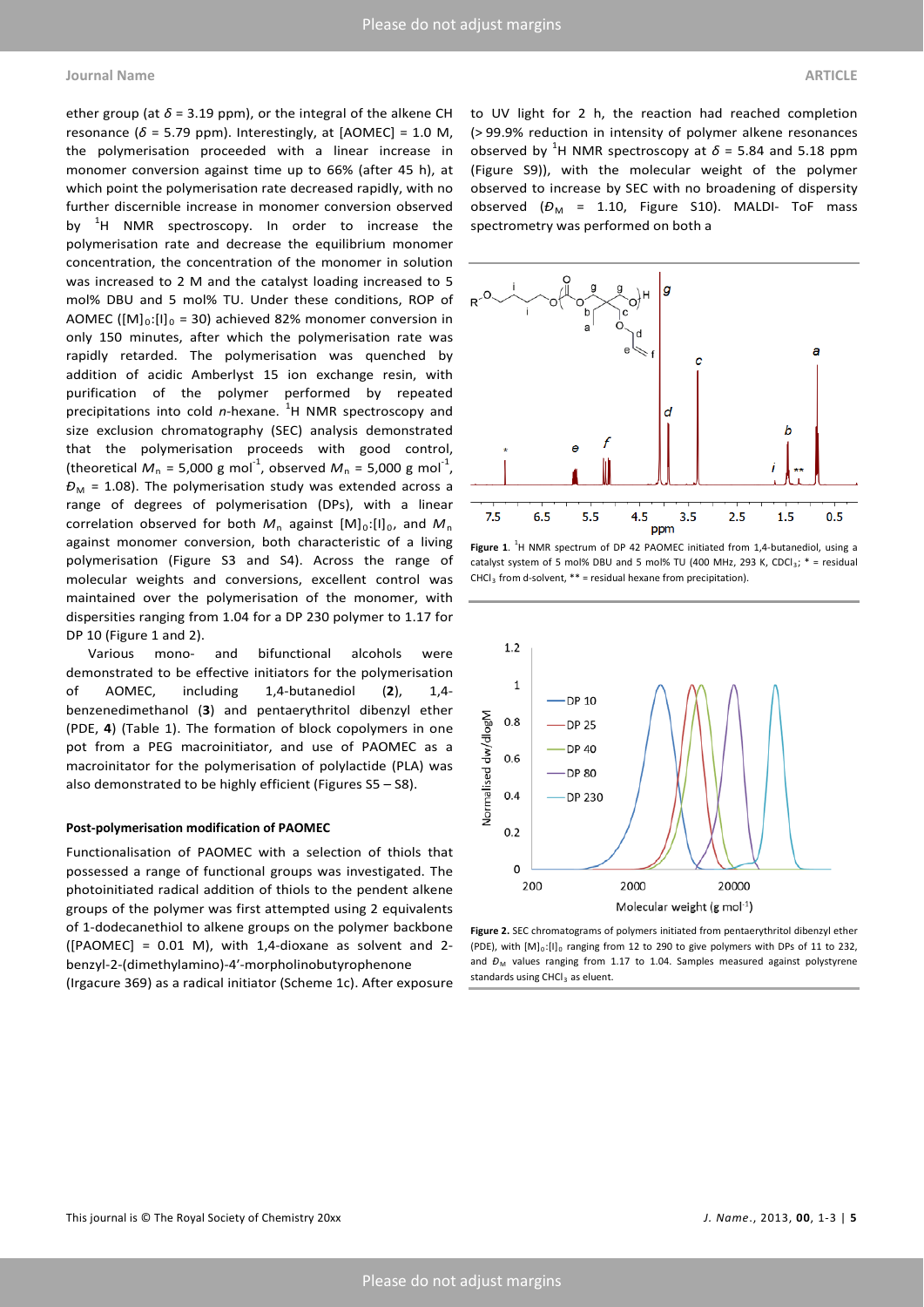### **Journal Name ARTICLE**

ether group (at  $\delta$  = 3.19 ppm), or the integral of the alkene CH resonance ( $\delta$  = 5.79 ppm). Interestingly, at [AOMEC] = 1.0 M, the polymerisation proceeded with a linear increase in monomer conversion against time up to 66% (after 45 h), at which point the polymerisation rate decreased rapidly, with no further discernible increase in monomer conversion observed by <sup>1</sup>H NMR spectroscopy. In order to increase the polymerisation rate and decrease the equilibrium monomer concentration, the concentration of the monomer in solution was increased to 2 M and the catalyst loading increased to 5 mol% DBU and 5 mol% TU. Under these conditions, ROP of AOMEC ( $[M]_0:[I]_0 = 30$ ) achieved 82% monomer conversion in only 150 minutes, after which the polymerisation rate was rapidly retarded. The polymerisation was quenched by addition of acidic Amberlyst 15 ion exchange resin, with purification of the polymer performed by repeated precipitations into cold *n*-hexane. <sup>1</sup>H NMR spectroscopy and size exclusion chromatography (SEC) analysis demonstrated that the polymerisation proceeds with good control, (theoretical  $M_n = 5{,}000 \text{ g mol}^{-1}$ , observed  $M_n = 5{,}000 \text{ g mol}^{-1}$ ,  $D_M$  = 1.08). The polymerisation study was extended across a range of degrees of polymerisation (DPs), with a linear correlation observed for both  $M_n$  against  $[M]_0:[I]_0$ , and  $M_n$ against monomer conversion, both characteristic of a living polymerisation (Figure S3 and S4). Across the range of molecular weights and conversions, excellent control was maintained over the polymerisation of the monomer, with dispersities ranging from 1.04 for a DP 230 polymer to 1.17 for DP 10 (Figure 1 and 2).

Various mono- and bifunctional alcohols were demonstrated to be effective initiators for the polymerisation of AOMEC, including 1,4-butanediol (**2**), 1,4 benzenedimethanol (**3**) and pentaerythritol dibenzyl ether (PDE, **4**) (Table 1). The formation of block copolymers in one pot from a PEG macroinitiator, and use of PAOMEC as a macroinitator for the polymerisation of polylactide (PLA) was also demonstrated to be highly efficient (Figures S5 – S8).

#### **Post-polymerisation modification of PAOMEC**

Functionalisation of PAOMEC with a selection of thiols that possessed a range of functional groups was investigated. The photoinitiated radical addition of thiols to the pendent alkene groups of the polymer was first attempted using 2 equivalents of 1-dodecanethiol to alkene groups on the polymer backbone ([PAOMEC] = 0.01 M), with 1,4-dioxane as solvent and 2 benzyl-2-(dimethylamino)-4′-morpholinobutyrophenone (Irgacure 369) as a radical initiator (Scheme 1c). After exposure to UV light for 2 h, the reaction had reached completion (> 99.9% reduction in intensity of polymer alkene resonances observed by <sup>1</sup>H NMR spectroscopy at  $\delta$  = 5.84 and 5.18 ppm (Figure S9)), with the molecular weight of the polymer observed to increase by SEC with no broadening of dispersity observed  $(D_M = 1.10,$  Figure S10). MALDI- ToF mass spectrometry was performed on both a



Figure 1.<sup>1</sup>H NMR spectrum of DP 42 PAOMEC initiated from 1,4-butanediol, using a catalyst system of 5 mol% DBU and 5 mol% TU (400 MHz, 293 K, CDCl<sub>3</sub>;  $*$  = residual  $CHCl<sub>3</sub>$  from d-solvent, \*\* = residual hexane from precipitation).



**Figure 2.** SEC chromatograms of polymers initiated from pentaerythritol dibenzyl ether  $(PDE)$ , with  $[M]_0$ : $[II]_0$  ranging from 12 to 290 to give polymers with DPs of 11 to 232. and  $D_M$  values ranging from 1.17 to 1.04. Samples measured against polystyrene standards using CHCl<sub>3</sub> as eluent.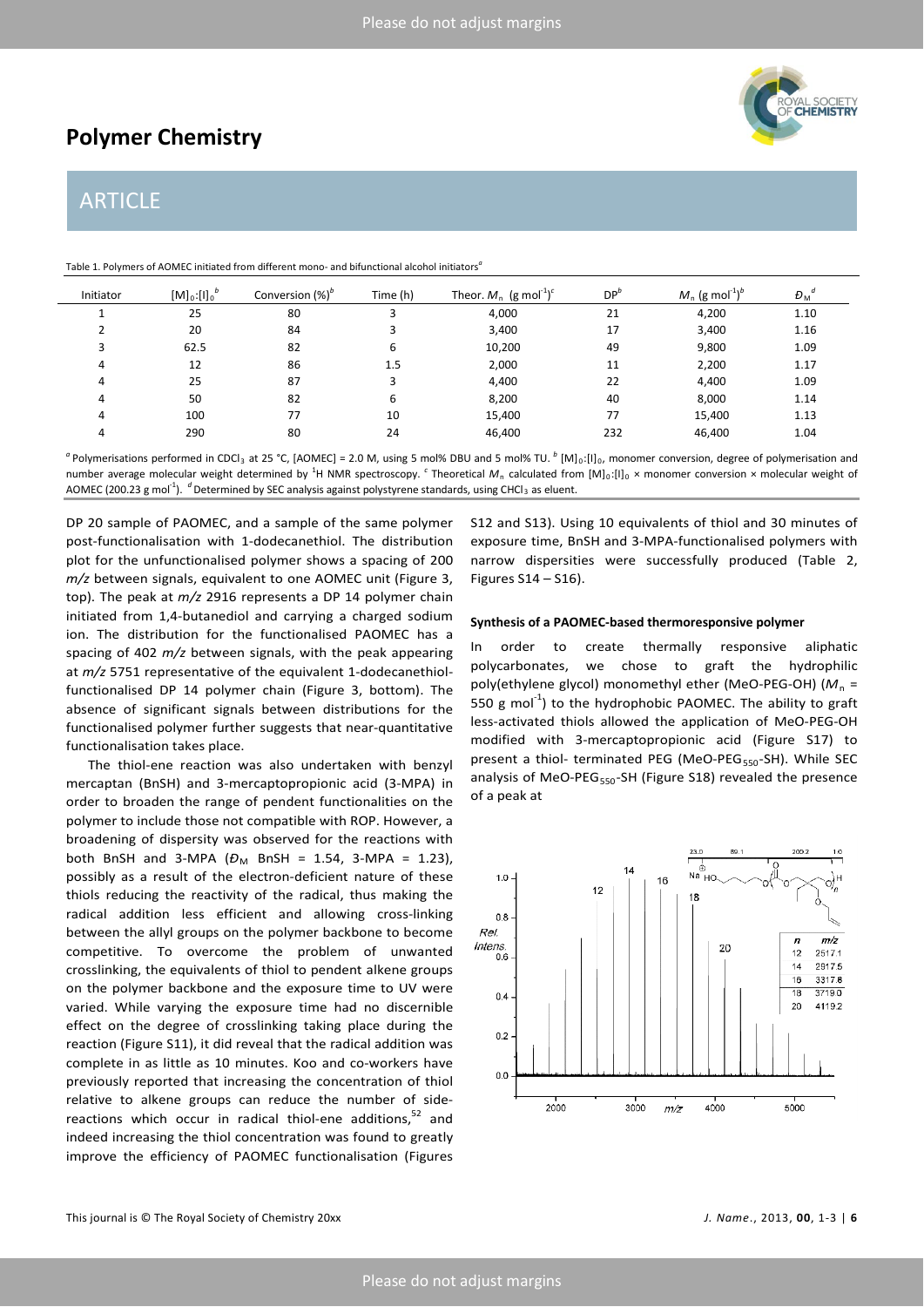# **Polymer Chemistry**

# ARTICLE

Table 1. Polymers of AOMEC initiated from different mono- and bifunctional alcohol initiators*<sup>a</sup>*

| Initiator | $[M]_0:[1]_0^{\nu}$ | Conversion (%) <sup>b</sup> | Time (h) | Theor. $M_n$ (g mol <sup>-1</sup> ) <sup>c</sup> | DP'' | $M_n$ (g mol <sup>-1</sup> ) <sup>b</sup> | $D_M$ |
|-----------|---------------------|-----------------------------|----------|--------------------------------------------------|------|-------------------------------------------|-------|
|           | 25                  | 80                          |          | 4,000                                            | 21   | 4,200                                     | 1.10  |
|           | 20                  | 84                          |          | 3,400                                            | 17   | 3,400                                     | 1.16  |
|           | 62.5                | 82                          | 6        | 10,200                                           | 49   | 9,800                                     | 1.09  |
|           | 12                  | 86                          | 1.5      | 2,000                                            | 11   | 2,200                                     | 1.17  |
|           | 25                  | 87                          |          | 4,400                                            | 22   | 4,400                                     | 1.09  |
|           | 50                  | 82                          | 6        | 8,200                                            | 40   | 8,000                                     | 1.14  |
|           | 100                 | 77                          | 10       | 15,400                                           | 77   | 15,400                                    | 1.13  |
|           | 290                 | 80                          | 24       | 46,400                                           | 232  | 46,400                                    | 1.04  |

<sup>*a*</sup> Polymerisations performed in CDCl<sub>3</sub> at 25 °C, [AOMEC] = 2.0 M, using 5 mol% DBU and 5 mol% TU. <sup>*b*</sup> [M]<sub>0</sub>:[I]<sub>0</sub>, monomer conversion, degree of polymerisation and number average molecular weight determined by <sup>1</sup>H NMR spectroscopy. <sup>c</sup> Theoretical  $M_n$  calculated from  $[M]_0:[I]_0 \times$  monomer conversion × molecular weight of AOMEC (200.23 g mol<sup>-1</sup>). <sup>*d*</sup> Determined by SEC analysis against polystyrene standards, using CHCl<sub>3</sub> as eluent.

DP 20 sample of PAOMEC, and a sample of the same polymer post-functionalisation with 1-dodecanethiol. The distribution plot for the unfunctionalised polymer shows a spacing of 200 *m/z* between signals, equivalent to one AOMEC unit (Figure 3, top). The peak at *m/z* 2916 represents a DP 14 polymer chain initiated from 1,4-butanediol and carrying a charged sodium ion. The distribution for the functionalised PAOMEC has a spacing of 402 *m/z* between signals, with the peak appearing at *m/z* 5751 representative of the equivalent 1-dodecanethiolfunctionalised DP 14 polymer chain (Figure 3, bottom). The absence of significant signals between distributions for the functionalised polymer further suggests that near-quantitative functionalisation takes place.

The thiol-ene reaction was also undertaken with benzyl mercaptan (BnSH) and 3-mercaptopropionic acid (3-MPA) in order to broaden the range of pendent functionalities on the polymer to include those not compatible with ROP. However, a broadening of dispersity was observed for the reactions with both BnSH and 3-MPA ( $D_M$  BnSH = 1.54, 3-MPA = 1.23), possibly as a result of the electron-deficient nature of these thiols reducing the reactivity of the radical, thus making the radical addition less efficient and allowing cross-linking between the allyl groups on the polymer backbone to become competitive. To overcome the problem of unwanted crosslinking, the equivalents of thiol to pendent alkene groups on the polymer backbone and the exposure time to UV were varied. While varying the exposure time had no discernible effect on the degree of crosslinking taking place during the reaction (Figure S11), it did reveal that the radical addition was complete in as little as 10 minutes. Koo and co-workers have previously reported that increasing the concentration of thiol relative to alkene groups can reduce the number of sidereactions which occur in radical thiol-ene additions, $52$  and indeed increasing the thiol concentration was found to greatly improve the efficiency of PAOMEC functionalisation (Figures

S12 and S13). Using 10 equivalents of thiol and 30 minutes of exposure time, BnSH and 3-MPA-functionalised polymers with narrow dispersities were successfully produced (Table 2, Figures S14 – S16).

## **Synthesis of a PAOMEC-based thermoresponsive polymer**

In order to create thermally responsive aliphatic polycarbonates, we chose to graft the hydrophilic poly(ethylene glycol) monomethyl ether (MeO-PEG-OH) (M<sub>n</sub> = 550 g mol<sup>-1</sup>) to the hydrophobic PAOMEC. The ability to graft less-activated thiols allowed the application of MeO-PEG-OH modified with 3-mercaptopropionic acid (Figure S17) to present a thiol- terminated PEG (MeO-PEG<sub>550</sub>-SH). While SEC analysis of MeO-PEG<sub>550</sub>-SH (Figure S18) revealed the presence of a peak at

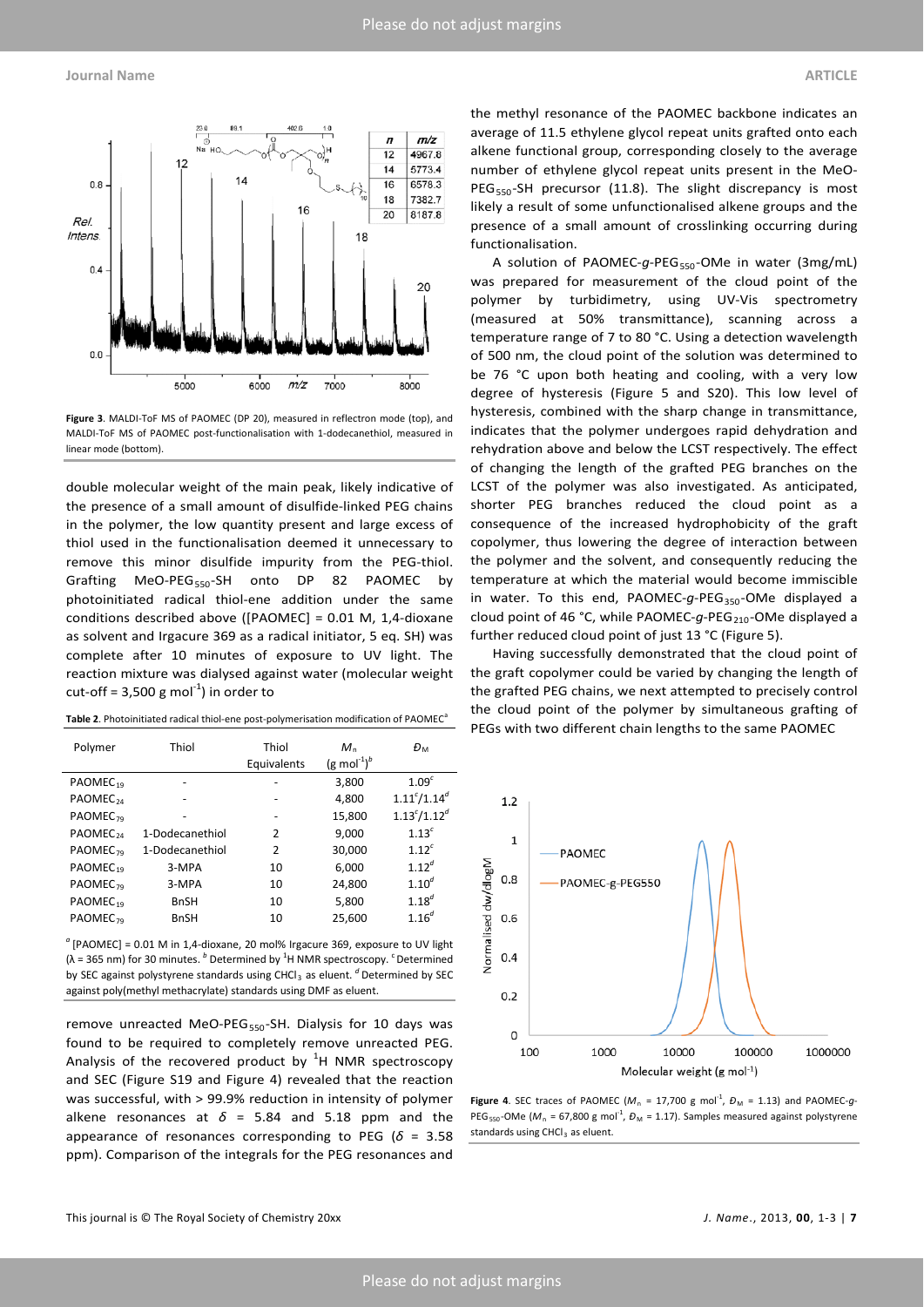

**Figure 3**. MALDI-ToF MS of PAOMEC (DP 20), measured in reflectron mode (top), and MALDI-ToF MS of PAOMEC post-functionalisation with 1-dodecanethiol, measured in linear mode (bottom).

double molecular weight of the main peak, likely indicative of the presence of a small amount of disulfide-linked PEG chains in the polymer, the low quantity present and large excess of thiol used in the functionalisation deemed it unnecessary to remove this minor disulfide impurity from the PEG-thiol. Grafting MeO-PEG<sub>550</sub>-SH onto DP 82 PAOMEC by photoinitiated radical thiol-ene addition under the same conditions described above ([PAOMEC] = 0.01 M, 1,4-dioxane as solvent and Irgacure 369 as a radical initiator, 5 eq. SH) was complete after 10 minutes of exposure to UV light. The reaction mixture was dialysed against water (molecular weight cut-off =  $3,500$  g mol $^{-1}$ ) in order to

Table 2. Photoinitiated radical thiol-ene post-polymerisation modification of PAOMEC<sup>a</sup>

| Polymer              | Thiol           | Thiol<br>Equivalents | $M_{\rm n}$<br>$(g \text{ mol}^{-1})^b$ | Đм                  |
|----------------------|-----------------|----------------------|-----------------------------------------|---------------------|
| PAOMEC <sub>19</sub> |                 |                      | 3,800                                   | 1.09 <sup>c</sup>   |
| PAOMEC <sub>24</sub> |                 |                      | 4,800                                   | $1.11^{c}/1.14^{d}$ |
| PAOMEC <sub>79</sub> |                 | -                    | 15,800                                  | $1.13^{c}/1.12^{d}$ |
| PAOMEC <sub>24</sub> | 1-Dodecanethiol | 2                    | 9,000                                   | 1.13 <sup>c</sup>   |
| PAOMEC <sub>79</sub> | 1-Dodecanethiol | 2                    | 30,000                                  | 1.12 <sup>c</sup>   |
| PAOMEC <sub>19</sub> | 3-MPA           | 10                   | 6,000                                   | $1.12^{d}$          |
| PAOMEC <sub>79</sub> | 3-MPA           | 10                   | 24,800                                  | $1.10^{d}$          |
| PAOMEC <sub>10</sub> | <b>BnSH</b>     | 10                   | 5,800                                   | $1.18^{d}$          |
| PAOMEC <sub>79</sub> | <b>BnSH</b>     | 10                   | 25.600                                  | $1.16^{d}$          |

*<sup>a</sup>* [PAOMEC] = 0.01 M in 1,4-dioxane, 20 mol% Irgacure 369, exposure to UV light ( $\lambda$  = 365 nm) for 30 minutes. <sup>b</sup> Determined by <sup>1</sup>H NMR spectroscopy. <sup>c</sup> Determined by SEC against polystyrene standards using CHCl<sub>3</sub> as eluent. <sup>*d*</sup> Determined by SEC against poly(methyl methacrylate) standards using DMF as eluent.

remove unreacted MeO-PEG<sub>550</sub>-SH. Dialysis for 10 days was found to be required to completely remove unreacted PEG. Analysis of the recovered product by  ${}^{1}$ H NMR spectroscopy and SEC (Figure S19 and Figure 4) revealed that the reaction was successful, with > 99.9% reduction in intensity of polymer alkene resonances at  $\delta$  = 5.84 and 5.18 ppm and the appearance of resonances corresponding to PEG ( $\delta$  = 3.58 ppm). Comparison of the integrals for the PEG resonances and

the methyl resonance of the PAOMEC backbone indicates an average of 11.5 ethylene glycol repeat units grafted onto each alkene functional group, corresponding closely to the average number of ethylene glycol repeat units present in the MeO-PEG<sub>550</sub>-SH precursor (11.8). The slight discrepancy is most likely a result of some unfunctionalised alkene groups and the presence of a small amount of crosslinking occurring during functionalisation.

A solution of PAOMEC-g-PEG<sub>550</sub>-OMe in water (3mg/mL) was prepared for measurement of the cloud point of the polymer by turbidimetry, using UV-Vis spectrometry (measured at 50% transmittance), scanning across a temperature range of 7 to 80 °C. Using a detection wavelength of 500 nm, the cloud point of the solution was determined to be 76 °C upon both heating and cooling, with a very low degree of hysteresis (Figure 5 and S20). This low level of hysteresis, combined with the sharp change in transmittance, indicates that the polymer undergoes rapid dehydration and rehydration above and below the LCST respectively. The effect of changing the length of the grafted PEG branches on the LCST of the polymer was also investigated. As anticipated, shorter PEG branches reduced the cloud point as a consequence of the increased hydrophobicity of the graft copolymer, thus lowering the degree of interaction between the polymer and the solvent, and consequently reducing the temperature at which the material would become immiscible in water. To this end, PAOMEC-g-PEG<sub>350</sub>-OMe displayed a cloud point of 46 °C, while PAOMEC-g-PEG<sub>210</sub>-OMe displayed a further reduced cloud point of just 13 °C (Figure 5).

Having successfully demonstrated that the cloud point of the graft copolymer could be varied by changing the length of the grafted PEG chains, we next attempted to precisely control the cloud point of the polymer by simultaneous grafting of PEGs with two different chain lengths to the same PAOMEC



**Figure 4**. SEC traces of PAOMEC ( $M_n = 17,700$  g mol<sup>-1</sup>,  $D_M = 1.13$ ) and PAOMEC-g-PEG<sub>550</sub>-OMe ( $M_n$  = 67,800 g mol<sup>-1</sup>,  $D_M$  = 1.17). Samples measured against polystyrene standards using CHCl<sub>3</sub> as eluent.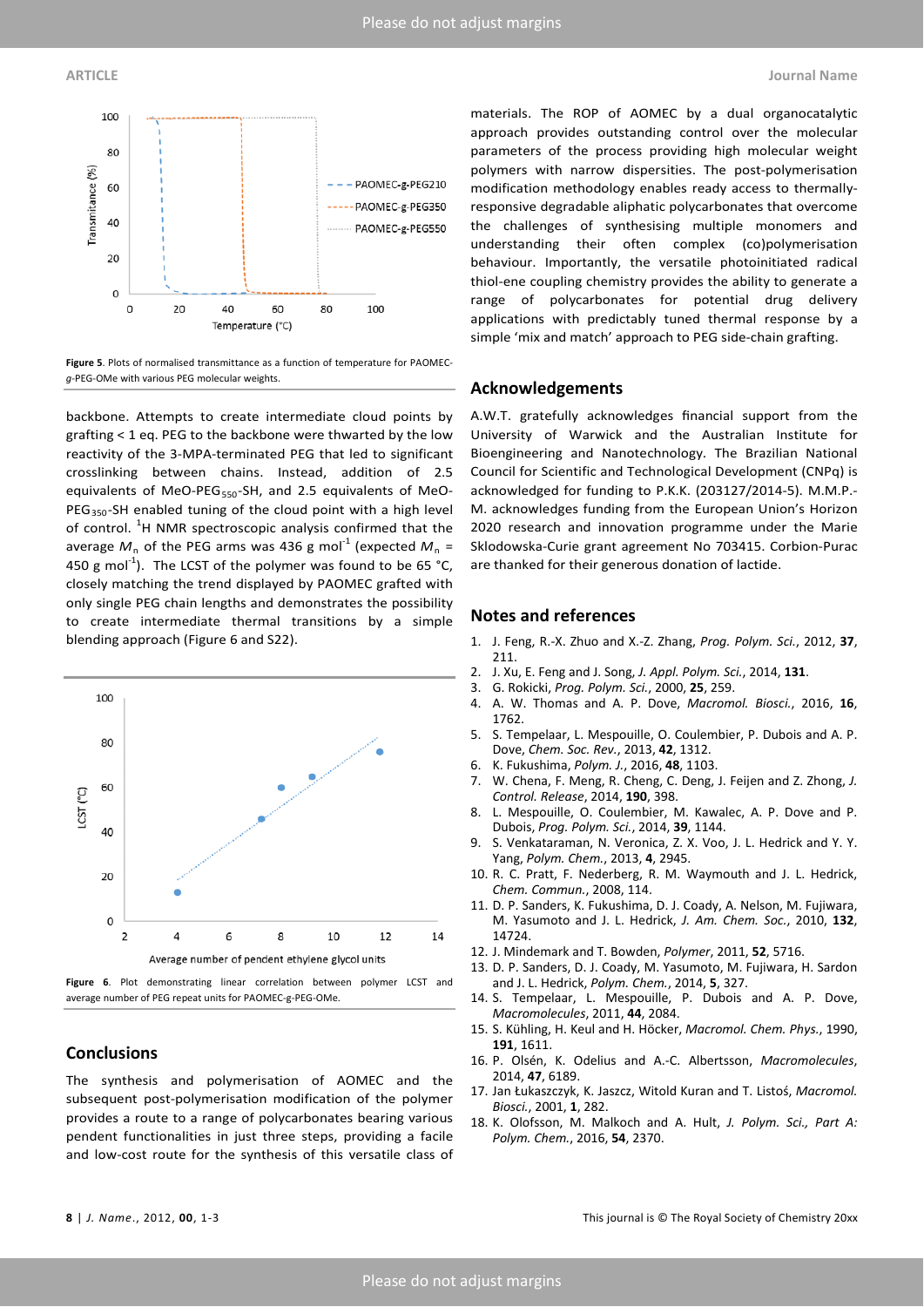

**Figure 5**. Plots of normalised transmittance as a function of temperature for PAOMEC*g*-PEG-OMe with various PEG molecular weights.

backbone. Attempts to create intermediate cloud points by grafting < 1 eq. PEG to the backbone were thwarted by the low reactivity of the 3-MPA-terminated PEG that led to significant crosslinking between chains. Instead, addition of 2.5 equivalents of MeO-PEG $_{550}$ -SH, and 2.5 equivalents of MeO- $PEG<sub>350</sub>$ -SH enabled tuning of the cloud point with a high level of control.  ${}^{1}$ H NMR spectroscopic analysis confirmed that the average  $M_n$  of the PEG arms was 436 g mol<sup>-1</sup> (expected  $M_n =$ 450 g mol<sup>-1</sup>). The LCST of the polymer was found to be 65 °C, closely matching the trend displayed by PAOMEC grafted with only single PEG chain lengths and demonstrates the possibility to create intermediate thermal transitions by a simple blending approach (Figure 6 and S22).



**Figure 6**. Plot demonstrating linear correlation between polymer LCST and average number of PEG repeat units for PAOMEC-g-PEG-OMe.

# **Conclusions**

The synthesis and polymerisation of AOMEC and the subsequent post-polymerisation modification of the polymer provides a route to a range of polycarbonates bearing various pendent functionalities in just three steps, providing a facile and low-cost route for the synthesis of this versatile class of

materials. The ROP of AOMEC by a dual organocatalytic approach provides outstanding control over the molecular parameters of the process providing high molecular weight polymers with narrow dispersities. The post-polymerisation modification methodology enables ready access to thermallyresponsive degradable aliphatic polycarbonates that overcome the challenges of synthesising multiple monomers and understanding their often complex (co)polymerisation behaviour. Importantly, the versatile photoinitiated radical thiol-ene coupling chemistry provides the ability to generate a range of polycarbonates for potential drug delivery applications with predictably tuned thermal response by a simple 'mix and match' approach to PEG side-chain grafting.

## **Acknowledgements**

A.W.T. gratefully acknowledges financial support from the University of Warwick and the Australian Institute for Bioengineering and Nanotechnology. The Brazilian National Council for Scientific and Technological Development (CNPq) is acknowledged for funding to P.K.K. (203127/2014-5). M.M.P.- M. acknowledges funding from the European Union's Horizon 2020 research and innovation programme under the Marie Sklodowska-Curie grant agreement No 703415. Corbion-Purac are thanked for their generous donation of lactide.

### **Notes and references**

- 1. J. Feng, R.-X. Zhuo and X.-Z. Zhang, *Prog. Polym. Sci.*, 2012, **37**, 211.
- 2. J. Xu, E. Feng and J. Song, *J. Appl. Polym. Sci.*, 2014, **131**.
- 3. G. Rokicki, *Prog. Polym. Sci.*, 2000, **25**, 259.
- 4. A. W. Thomas and A. P. Dove, *Macromol. Biosci.*, 2016, **16**, 1762.
- 5. S. Tempelaar, L. Mespouille, O. Coulembier, P. Dubois and A. P. Dove, *Chem. Soc. Rev.*, 2013, **42**, 1312.
- 6. K. Fukushima, *Polym. J.*, 2016, **48**, 1103.
- 7. W. Chena, F. Meng, R. Cheng, C. Deng, J. Feijen and Z. Zhong, *J. Control. Release*, 2014, **190**, 398.
- 8. L. Mespouille, O. Coulembier, M. Kawalec, A. P. Dove and P. Dubois, *Prog. Polym. Sci.*, 2014, **39**, 1144.
- 9. S. Venkataraman, N. Veronica, Z. X. Voo, J. L. Hedrick and Y. Y. Yang, *Polym. Chem.*, 2013, **4**, 2945.
- 10. R. C. Pratt, F. Nederberg, R. M. Waymouth and J. L. Hedrick, *Chem. Commun.*, 2008, 114.
- 11. D. P. Sanders, K. Fukushima, D. J. Coady, A. Nelson, M. Fujiwara, M. Yasumoto and J. L. Hedrick, *J. Am. Chem. Soc.*, 2010, **132**, 14724.
- 12. J. Mindemark and T. Bowden, *Polymer*, 2011, **52**, 5716.
- 13. D. P. Sanders, D. J. Coady, M. Yasumoto, M. Fujiwara, H. Sardon and J. L. Hedrick, *Polym. Chem.*, 2014, **5**, 327.
- 14. S. Tempelaar, L. Mespouille, P. Dubois and A. P. Dove, *Macromolecules*, 2011, **44**, 2084.
- 15. S. Kühling, H. Keul and H. Höcker, *Macromol. Chem. Phys.*, 1990, **191**, 1611.
- 16. P. Olsén, K. Odelius and A.-C. Albertsson, *Macromolecules*, 2014, **47**, 6189.
- 17. Jan Łukaszczyk, K. Jaszcz, Witold Kuran and T. Listoś, *Macromol. Biosci.*, 2001, **1**, 282.
- 18. K. Olofsson, M. Malkoch and A. Hult, *J. Polym. Sci., Part A: Polym. Chem.*, 2016, **54**, 2370.